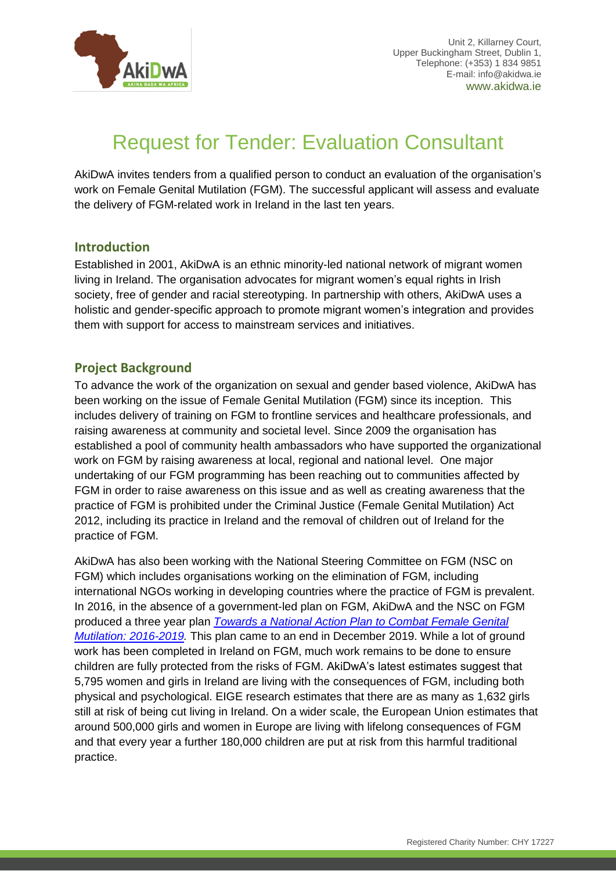

# Request for Tender: Evaluation Consultant

AkiDwA invites tenders from a qualified person to conduct an evaluation of the organisation's work on Female Genital Mutilation (FGM). The successful applicant will assess and evaluate the delivery of FGM-related work in Ireland in the last ten years.

#### **Introduction**

Established in 2001, AkiDwA is an ethnic minority-led national network of migrant women living in Ireland. The organisation advocates for migrant women's equal rights in Irish society, free of gender and racial stereotyping. In partnership with others, AkiDwA uses a holistic and gender-specific approach to promote migrant women's integration and provides them with support for access to mainstream services and initiatives.

# **Project Background**

To advance the work of the organization on sexual and gender based violence, AkiDwA has been working on the issue of Female Genital Mutilation (FGM) since its inception. This includes delivery of training on FGM to frontline services and healthcare professionals, and raising awareness at community and societal level. Since 2009 the organisation has established a pool of community health ambassadors who have supported the organizational work on FGM by raising awareness at local, regional and national level. One major undertaking of our FGM programming has been reaching out to communities affected by FGM in order to raise awareness on this issue and as well as creating awareness that the practice of FGM is prohibited under the Criminal Justice (Female Genital Mutilation) Act 2012, including its practice in Ireland and the removal of children out of Ireland for the practice of FGM.

AkiDwA has also been working with the National Steering Committee on FGM (NSC on FGM) which includes organisations working on the elimination of FGM, including international NGOs working in developing countries where the practice of FGM is prevalent. In 2016, in the absence of a government-led plan on FGM, AkiDwA and the NSC on FGM produced a three year plan *[Towards a National Action Plan to Combat Female](https://akidwa.ie/wp-content/uploads/2014/09/Towards-a-National-Action-Plan-to-Combat-FGM-2016-2019.pdf) Genital [Mutilation: 2016-2019.](https://akidwa.ie/wp-content/uploads/2014/09/Towards-a-National-Action-Plan-to-Combat-FGM-2016-2019.pdf)* This plan came to an end in December 2019. While a lot of ground work has been completed in Ireland on FGM, much work remains to be done to ensure children are fully protected from the risks of FGM. AkiDwA's latest estimates suggest that 5,795 women and girls in Ireland are living with the consequences of FGM, including both physical and psychological. EIGE research estimates that there are as many as 1,632 girls still at risk of being cut living in Ireland. On a wider scale, the European Union estimates that around 500,000 girls and women in Europe are living with lifelong consequences of FGM and that every year a further 180,000 children are put at risk from this harmful traditional practice.